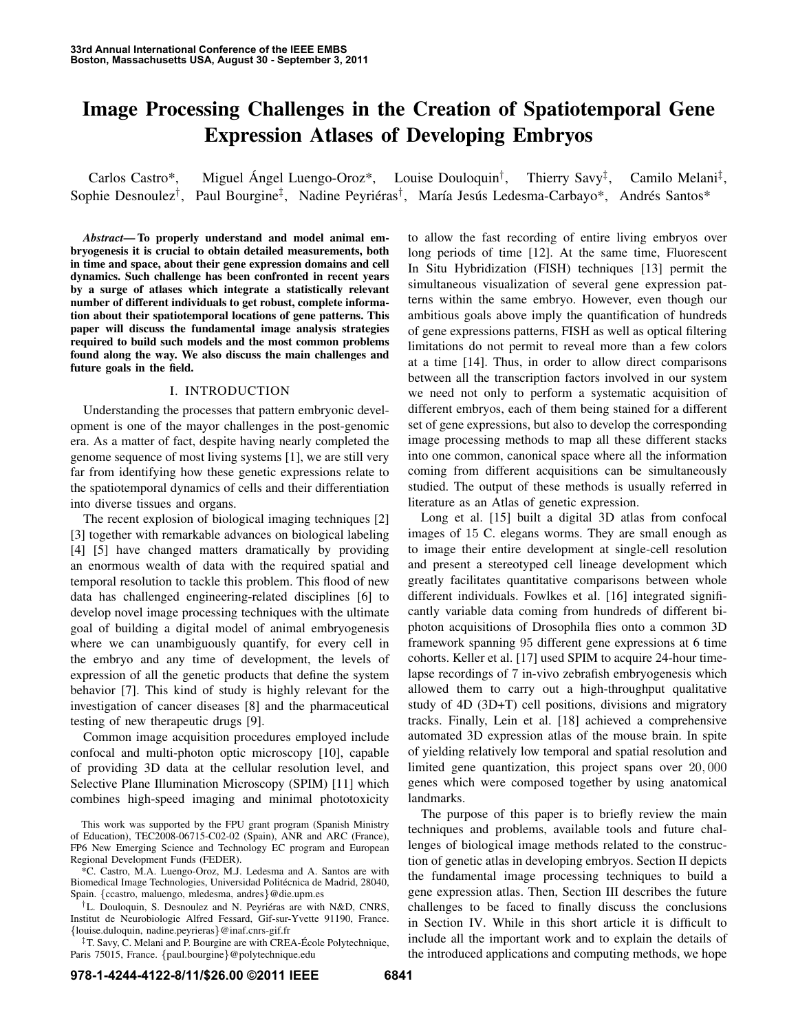# Image Processing Challenges in the Creation of Spatiotemporal Gene Expression Atlases of Developing Embryos

Carlos Castro\*, Miguel Ángel Luengo-Oroz\*, Louise Douloquin<sup>†</sup>, Thierry  $Savy^{\ddagger}$ , , Camilo Melani‡ , Sophie Desnoulez<sup>†</sup>, Paul Bourgine<sup>‡</sup>, Nadine Peyriéras<sup>†</sup>, María Jesús Ledesma-Carbayo\*, Andrés Santos\*

*Abstract*— To properly understand and model animal embryogenesis it is crucial to obtain detailed measurements, both in time and space, about their gene expression domains and cell dynamics. Such challenge has been confronted in recent years by a surge of atlases which integrate a statistically relevant number of different individuals to get robust, complete information about their spatiotemporal locations of gene patterns. This paper will discuss the fundamental image analysis strategies required to build such models and the most common problems found along the way. We also discuss the main challenges and future goals in the field.

## I. INTRODUCTION

Understanding the processes that pattern embryonic development is one of the mayor challenges in the post-genomic era. As a matter of fact, despite having nearly completed the genome sequence of most living systems [1], we are still very far from identifying how these genetic expressions relate to the spatiotemporal dynamics of cells and their differentiation into diverse tissues and organs.

The recent explosion of biological imaging techniques [2] [3] together with remarkable advances on biological labeling [4] [5] have changed matters dramatically by providing an enormous wealth of data with the required spatial and temporal resolution to tackle this problem. This flood of new data has challenged engineering-related disciplines [6] to develop novel image processing techniques with the ultimate goal of building a digital model of animal embryogenesis where we can unambiguously quantify, for every cell in the embryo and any time of development, the levels of expression of all the genetic products that define the system behavior [7]. This kind of study is highly relevant for the investigation of cancer diseases [8] and the pharmaceutical testing of new therapeutic drugs [9].

Common image acquisition procedures employed include confocal and multi-photon optic microscopy [10], capable of providing 3D data at the cellular resolution level, and Selective Plane Illumination Microscopy (SPIM) [11] which combines high-speed imaging and minimal phototoxicity

to allow the fast recording of entire living embryos over long periods of time [12]. At the same time, Fluorescent In Situ Hybridization (FISH) techniques [13] permit the simultaneous visualization of several gene expression patterns within the same embryo. However, even though our ambitious goals above imply the quantification of hundreds of gene expressions patterns, FISH as well as optical filtering limitations do not permit to reveal more than a few colors at a time [14]. Thus, in order to allow direct comparisons between all the transcription factors involved in our system we need not only to perform a systematic acquisition of different embryos, each of them being stained for a different set of gene expressions, but also to develop the corresponding image processing methods to map all these different stacks into one common, canonical space where all the information coming from different acquisitions can be simultaneously studied. The output of these methods is usually referred in literature as an Atlas of genetic expression.

Long et al. [15] built a digital 3D atlas from confocal images of 15 C. elegans worms. They are small enough as to image their entire development at single-cell resolution and present a stereotyped cell lineage development which greatly facilitates quantitative comparisons between whole different individuals. Fowlkes et al. [16] integrated significantly variable data coming from hundreds of different biphoton acquisitions of Drosophila flies onto a common 3D framework spanning 95 different gene expressions at 6 time cohorts. Keller et al. [17] used SPIM to acquire 24-hour timelapse recordings of 7 in-vivo zebrafish embryogenesis which allowed them to carry out a high-throughput qualitative study of 4D (3D+T) cell positions, divisions and migratory tracks. Finally, Lein et al. [18] achieved a comprehensive automated 3D expression atlas of the mouse brain. In spite of yielding relatively low temporal and spatial resolution and limited gene quantization, this project spans over 20, 000 genes which were composed together by using anatomical landmarks.

The purpose of this paper is to briefly review the main techniques and problems, available tools and future challenges of biological image methods related to the construction of genetic atlas in developing embryos. Section II depicts the fundamental image processing techniques to build a gene expression atlas. Then, Section III describes the future challenges to be faced to finally discuss the conclusions in Section IV. While in this short article it is difficult to include all the important work and to explain the details of the introduced applications and computing methods, we hope

This work was supported by the FPU grant program (Spanish Ministry of Education), TEC2008-06715-C02-02 (Spain), ANR and ARC (France), FP6 New Emerging Science and Technology EC program and European Regional Development Funds (FEDER).

<sup>\*</sup>C. Castro, M.A. Luengo-Oroz, M.J. Ledesma and A. Santos are with Biomedical Image Technologies, Universidad Politécnica de Madrid, 28040, Spain. {ccastro, maluengo, mledesma, andres}@die.upm.es

<sup>&</sup>lt;sup>†</sup>L. Douloquin, S. Desnoulez and N. Peyriéras are with N&D, CNRS, Institut de Neurobiologie Alfred Fessard, Gif-sur-Yvette 91190, France. {louise.duloquin, nadine.peyrieras}@inaf.cnrs-gif.fr

<sup>‡</sup>T. Savy, C. Melani and P. Bourgine are with CREA-Ecole Polytechnique, ´ Paris 75015, France. {paul.bourgine}@polytechnique.edu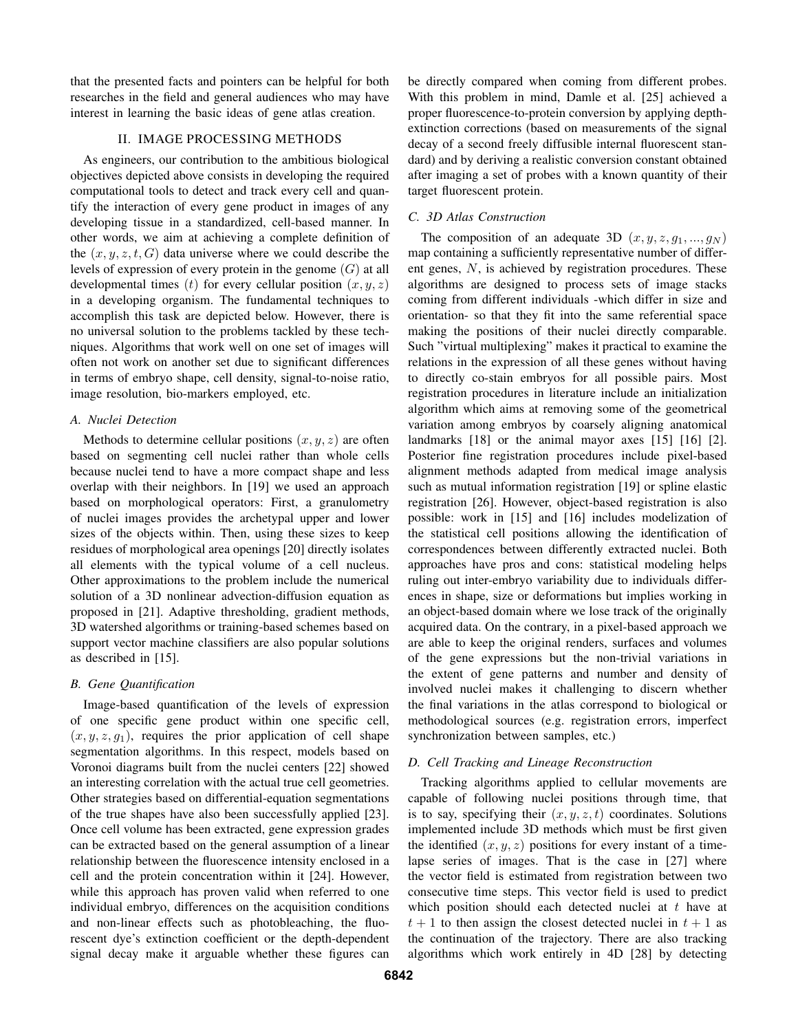that the presented facts and pointers can be helpful for both researches in the field and general audiences who may have interest in learning the basic ideas of gene atlas creation.

### II. IMAGE PROCESSING METHODS

As engineers, our contribution to the ambitious biological objectives depicted above consists in developing the required computational tools to detect and track every cell and quantify the interaction of every gene product in images of any developing tissue in a standardized, cell-based manner. In other words, we aim at achieving a complete definition of the  $(x, y, z, t, G)$  data universe where we could describe the levels of expression of every protein in the genome  $(G)$  at all developmental times (t) for every cellular position  $(x, y, z)$ in a developing organism. The fundamental techniques to accomplish this task are depicted below. However, there is no universal solution to the problems tackled by these techniques. Algorithms that work well on one set of images will often not work on another set due to significant differences in terms of embryo shape, cell density, signal-to-noise ratio, image resolution, bio-markers employed, etc.

#### *A. Nuclei Detection*

Methods to determine cellular positions  $(x, y, z)$  are often based on segmenting cell nuclei rather than whole cells because nuclei tend to have a more compact shape and less overlap with their neighbors. In [19] we used an approach based on morphological operators: First, a granulometry of nuclei images provides the archetypal upper and lower sizes of the objects within. Then, using these sizes to keep residues of morphological area openings [20] directly isolates all elements with the typical volume of a cell nucleus. Other approximations to the problem include the numerical solution of a 3D nonlinear advection-diffusion equation as proposed in [21]. Adaptive thresholding, gradient methods, 3D watershed algorithms or training-based schemes based on support vector machine classifiers are also popular solutions as described in [15].

## *B. Gene Quantification*

Image-based quantification of the levels of expression of one specific gene product within one specific cell,  $(x, y, z, q_1)$ , requires the prior application of cell shape segmentation algorithms. In this respect, models based on Voronoi diagrams built from the nuclei centers [22] showed an interesting correlation with the actual true cell geometries. Other strategies based on differential-equation segmentations of the true shapes have also been successfully applied [23]. Once cell volume has been extracted, gene expression grades can be extracted based on the general assumption of a linear relationship between the fluorescence intensity enclosed in a cell and the protein concentration within it [24]. However, while this approach has proven valid when referred to one individual embryo, differences on the acquisition conditions and non-linear effects such as photobleaching, the fluorescent dye's extinction coefficient or the depth-dependent signal decay make it arguable whether these figures can

be directly compared when coming from different probes. With this problem in mind, Damle et al. [25] achieved a proper fluorescence-to-protein conversion by applying depthextinction corrections (based on measurements of the signal decay of a second freely diffusible internal fluorescent standard) and by deriving a realistic conversion constant obtained after imaging a set of probes with a known quantity of their target fluorescent protein.

## *C. 3D Atlas Construction*

The composition of an adequate 3D  $(x, y, z, q_1, ..., q_N)$ map containing a sufficiently representative number of different genes, N, is achieved by registration procedures. These algorithms are designed to process sets of image stacks coming from different individuals -which differ in size and orientation- so that they fit into the same referential space making the positions of their nuclei directly comparable. Such "virtual multiplexing" makes it practical to examine the relations in the expression of all these genes without having to directly co-stain embryos for all possible pairs. Most registration procedures in literature include an initialization algorithm which aims at removing some of the geometrical variation among embryos by coarsely aligning anatomical landmarks [18] or the animal mayor axes [15] [16] [2]. Posterior fine registration procedures include pixel-based alignment methods adapted from medical image analysis such as mutual information registration [19] or spline elastic registration [26]. However, object-based registration is also possible: work in [15] and [16] includes modelization of the statistical cell positions allowing the identification of correspondences between differently extracted nuclei. Both approaches have pros and cons: statistical modeling helps ruling out inter-embryo variability due to individuals differences in shape, size or deformations but implies working in an object-based domain where we lose track of the originally acquired data. On the contrary, in a pixel-based approach we are able to keep the original renders, surfaces and volumes of the gene expressions but the non-trivial variations in the extent of gene patterns and number and density of involved nuclei makes it challenging to discern whether the final variations in the atlas correspond to biological or methodological sources (e.g. registration errors, imperfect synchronization between samples, etc.)

#### *D. Cell Tracking and Lineage Reconstruction*

Tracking algorithms applied to cellular movements are capable of following nuclei positions through time, that is to say, specifying their  $(x, y, z, t)$  coordinates. Solutions implemented include 3D methods which must be first given the identified  $(x, y, z)$  positions for every instant of a timelapse series of images. That is the case in [27] where the vector field is estimated from registration between two consecutive time steps. This vector field is used to predict which position should each detected nuclei at  $t$  have at  $t + 1$  to then assign the closest detected nuclei in  $t + 1$  as the continuation of the trajectory. There are also tracking algorithms which work entirely in 4D [28] by detecting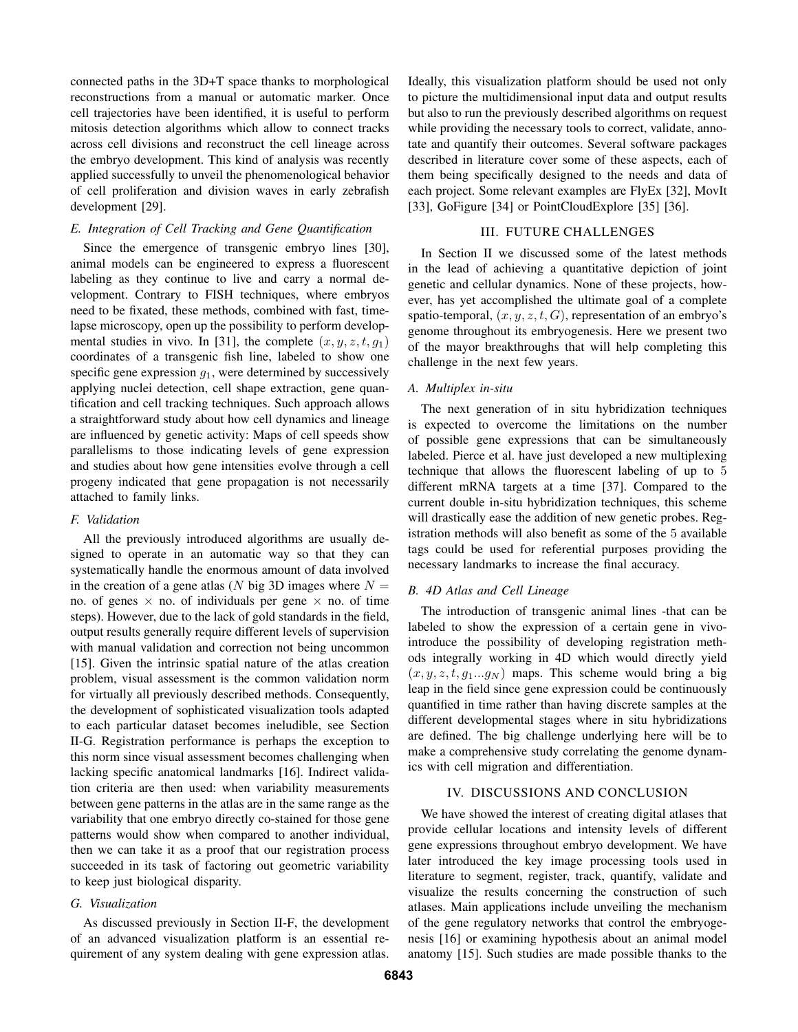connected paths in the 3D+T space thanks to morphological reconstructions from a manual or automatic marker. Once cell trajectories have been identified, it is useful to perform mitosis detection algorithms which allow to connect tracks across cell divisions and reconstruct the cell lineage across the embryo development. This kind of analysis was recently applied successfully to unveil the phenomenological behavior of cell proliferation and division waves in early zebrafish development [29].

## *E. Integration of Cell Tracking and Gene Quantification*

Since the emergence of transgenic embryo lines [30], animal models can be engineered to express a fluorescent labeling as they continue to live and carry a normal development. Contrary to FISH techniques, where embryos need to be fixated, these methods, combined with fast, timelapse microscopy, open up the possibility to perform developmental studies in vivo. In [31], the complete  $(x, y, z, t, g_1)$ coordinates of a transgenic fish line, labeled to show one specific gene expression  $g_1$ , were determined by successively applying nuclei detection, cell shape extraction, gene quantification and cell tracking techniques. Such approach allows a straightforward study about how cell dynamics and lineage are influenced by genetic activity: Maps of cell speeds show parallelisms to those indicating levels of gene expression and studies about how gene intensities evolve through a cell progeny indicated that gene propagation is not necessarily attached to family links.

## *F. Validation*

All the previously introduced algorithms are usually designed to operate in an automatic way so that they can systematically handle the enormous amount of data involved in the creation of a gene atlas (N big 3D images where  $N =$ no. of genes  $\times$  no. of individuals per gene  $\times$  no. of time steps). However, due to the lack of gold standards in the field, output results generally require different levels of supervision with manual validation and correction not being uncommon [15]. Given the intrinsic spatial nature of the atlas creation problem, visual assessment is the common validation norm for virtually all previously described methods. Consequently, the development of sophisticated visualization tools adapted to each particular dataset becomes ineludible, see Section II-G. Registration performance is perhaps the exception to this norm since visual assessment becomes challenging when lacking specific anatomical landmarks [16]. Indirect validation criteria are then used: when variability measurements between gene patterns in the atlas are in the same range as the variability that one embryo directly co-stained for those gene patterns would show when compared to another individual, then we can take it as a proof that our registration process succeeded in its task of factoring out geometric variability to keep just biological disparity.

## *G. Visualization*

As discussed previously in Section II-F, the development of an advanced visualization platform is an essential requirement of any system dealing with gene expression atlas. Ideally, this visualization platform should be used not only to picture the multidimensional input data and output results but also to run the previously described algorithms on request while providing the necessary tools to correct, validate, annotate and quantify their outcomes. Several software packages described in literature cover some of these aspects, each of them being specifically designed to the needs and data of each project. Some relevant examples are FlyEx [32], MovIt [33], GoFigure [34] or PointCloudExplore [35] [36].

## III. FUTURE CHALLENGES

In Section II we discussed some of the latest methods in the lead of achieving a quantitative depiction of joint genetic and cellular dynamics. None of these projects, however, has yet accomplished the ultimate goal of a complete spatio-temporal,  $(x, y, z, t, G)$ , representation of an embryo's genome throughout its embryogenesis. Here we present two of the mayor breakthroughs that will help completing this challenge in the next few years.

#### *A. Multiplex in-situ*

The next generation of in situ hybridization techniques is expected to overcome the limitations on the number of possible gene expressions that can be simultaneously labeled. Pierce et al. have just developed a new multiplexing technique that allows the fluorescent labeling of up to 5 different mRNA targets at a time [37]. Compared to the current double in-situ hybridization techniques, this scheme will drastically ease the addition of new genetic probes. Registration methods will also benefit as some of the 5 available tags could be used for referential purposes providing the necessary landmarks to increase the final accuracy.

#### *B. 4D Atlas and Cell Lineage*

The introduction of transgenic animal lines -that can be labeled to show the expression of a certain gene in vivointroduce the possibility of developing registration methods integrally working in 4D which would directly yield  $(x, y, z, t, g_1...g_N)$  maps. This scheme would bring a big leap in the field since gene expression could be continuously quantified in time rather than having discrete samples at the different developmental stages where in situ hybridizations are defined. The big challenge underlying here will be to make a comprehensive study correlating the genome dynamics with cell migration and differentiation.

#### IV. DISCUSSIONS AND CONCLUSION

We have showed the interest of creating digital atlases that provide cellular locations and intensity levels of different gene expressions throughout embryo development. We have later introduced the key image processing tools used in literature to segment, register, track, quantify, validate and visualize the results concerning the construction of such atlases. Main applications include unveiling the mechanism of the gene regulatory networks that control the embryogenesis [16] or examining hypothesis about an animal model anatomy [15]. Such studies are made possible thanks to the